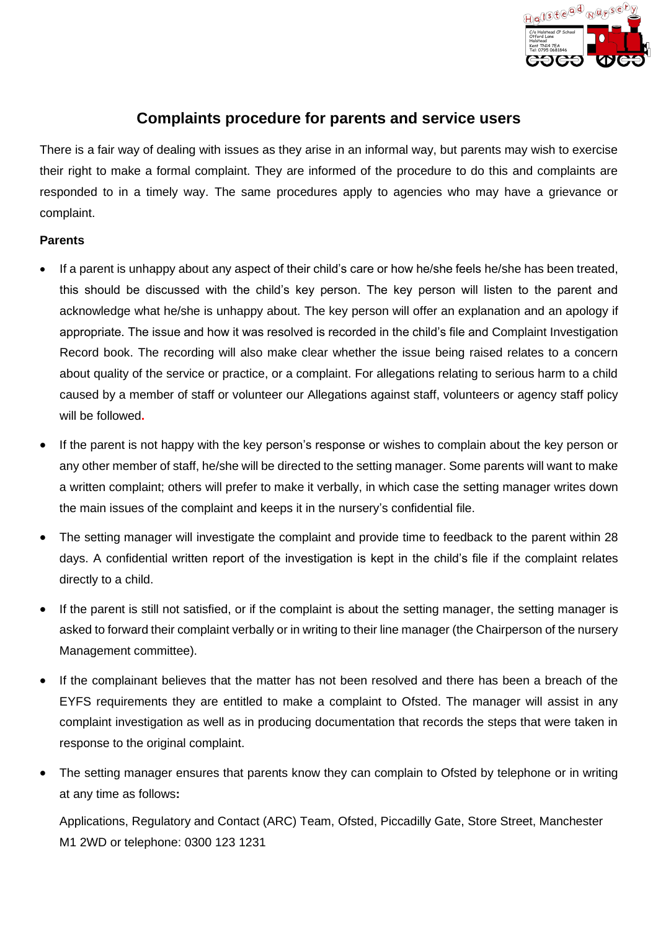

# **Complaints procedure for parents and service users**

There is a fair way of dealing with issues as they arise in an informal way, but parents may wish to exercise their right to make a formal complaint. They are informed of the procedure to do this and complaints are responded to in a timely way. The same procedures apply to agencies who may have a grievance or complaint.

### **Parents**

- If a parent is unhappy about any aspect of their child's care or how he/she feels he/she has been treated, this should be discussed with the child's key person. The key person will listen to the parent and acknowledge what he/she is unhappy about. The key person will offer an explanation and an apology if appropriate. The issue and how it was resolved is recorded in the child's file and Complaint Investigation Record book. The recording will also make clear whether the issue being raised relates to a concern about quality of the service or practice, or a complaint. For allegations relating to serious harm to a child caused by a member of staff or volunteer our Allegations against staff, volunteers or agency staff policy will be followed**.**
- If the parent is not happy with the key person's response or wishes to complain about the key person or any other member of staff, he/she will be directed to the setting manager. Some parents will want to make a written complaint; others will prefer to make it verbally, in which case the setting manager writes down the main issues of the complaint and keeps it in the nursery's confidential file.
- The setting manager will investigate the complaint and provide time to feedback to the parent within 28 days. A confidential written report of the investigation is kept in the child's file if the complaint relates directly to a child.
- If the parent is still not satisfied, or if the complaint is about the setting manager, the setting manager is asked to forward their complaint verbally or in writing to their line manager (the Chairperson of the nursery Management committee).
- If the complainant believes that the matter has not been resolved and there has been a breach of the EYFS requirements they are entitled to make a complaint to Ofsted. The manager will assist in any complaint investigation as well as in producing documentation that records the steps that were taken in response to the original complaint.
- The setting manager ensures that parents know they can complain to Ofsted by telephone or in writing at any time as follows**:**

Applications, Regulatory and Contact (ARC) Team, Ofsted, Piccadilly Gate, Store Street, Manchester M1 2WD or telephone: 0300 123 1231